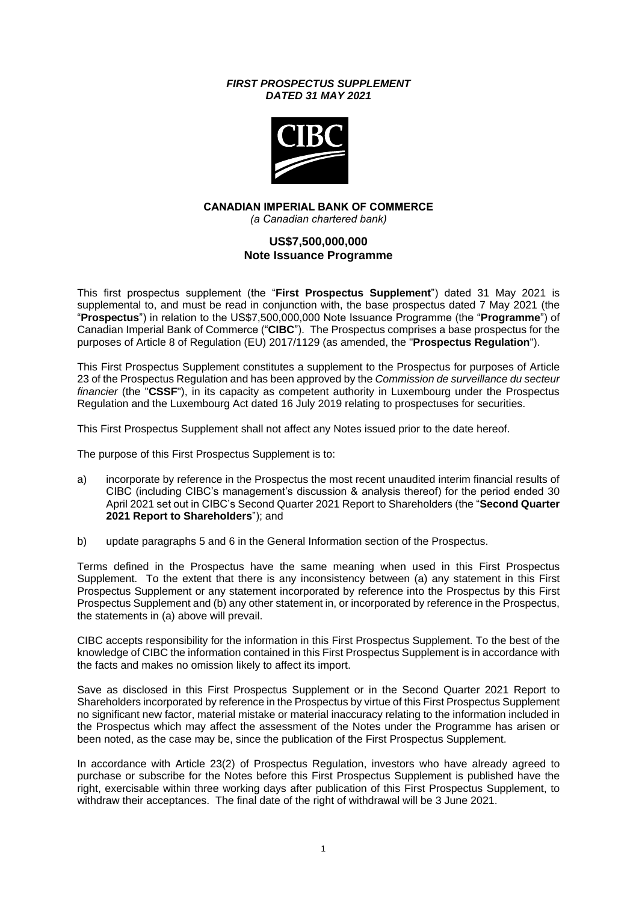#### *FIRST PROSPECTUS SUPPLEMENT DATED 31 MAY 2021*



### **CANADIAN IMPERIAL BANK OF COMMERCE** *(a Canadian chartered bank)*

# **US\$7,500,000,000 Note Issuance Programme**

This first prospectus supplement (the "**First Prospectus Supplement**") dated 31 May 2021 is supplemental to, and must be read in conjunction with, the base prospectus dated 7 May 2021 (the "**Prospectus**") in relation to the US\$7,500,000,000 Note Issuance Programme (the "**Programme**") of Canadian Imperial Bank of Commerce ("**CIBC**"). The Prospectus comprises a base prospectus for the purposes of Article 8 of Regulation (EU) 2017/1129 (as amended, the "**Prospectus Regulation**").

This First Prospectus Supplement constitutes a supplement to the Prospectus for purposes of Article 23 of the Prospectus Regulation and has been approved by the *Commission de surveillance du secteur financier* (the "**CSSF**"), in its capacity as competent authority in Luxembourg under the Prospectus Regulation and the Luxembourg Act dated 16 July 2019 relating to prospectuses for securities.

This First Prospectus Supplement shall not affect any Notes issued prior to the date hereof.

The purpose of this First Prospectus Supplement is to:

- a) incorporate by reference in the Prospectus the most recent unaudited interim financial results of CIBC (including CIBC's management's discussion & analysis thereof) for the period ended 30 April 2021 set out in CIBC's Second Quarter 2021 Report to Shareholders (the "**Second Quarter 2021 Report to Shareholders**"); and
- b) update paragraphs 5 and 6 in the General Information section of the Prospectus.

Terms defined in the Prospectus have the same meaning when used in this First Prospectus Supplement. To the extent that there is any inconsistency between (a) any statement in this First Prospectus Supplement or any statement incorporated by reference into the Prospectus by this First Prospectus Supplement and (b) any other statement in, or incorporated by reference in the Prospectus, the statements in (a) above will prevail.

CIBC accepts responsibility for the information in this First Prospectus Supplement. To the best of the knowledge of CIBC the information contained in this First Prospectus Supplement is in accordance with the facts and makes no omission likely to affect its import.

Save as disclosed in this First Prospectus Supplement or in the Second Quarter 2021 Report to Shareholders incorporated by reference in the Prospectus by virtue of this First Prospectus Supplement no significant new factor, material mistake or material inaccuracy relating to the information included in the Prospectus which may affect the assessment of the Notes under the Programme has arisen or been noted, as the case may be, since the publication of the First Prospectus Supplement.

In accordance with Article 23(2) of Prospectus Regulation, investors who have already agreed to purchase or subscribe for the Notes before this First Prospectus Supplement is published have the right, exercisable within three working days after publication of this First Prospectus Supplement, to withdraw their acceptances. The final date of the right of withdrawal will be 3 June 2021.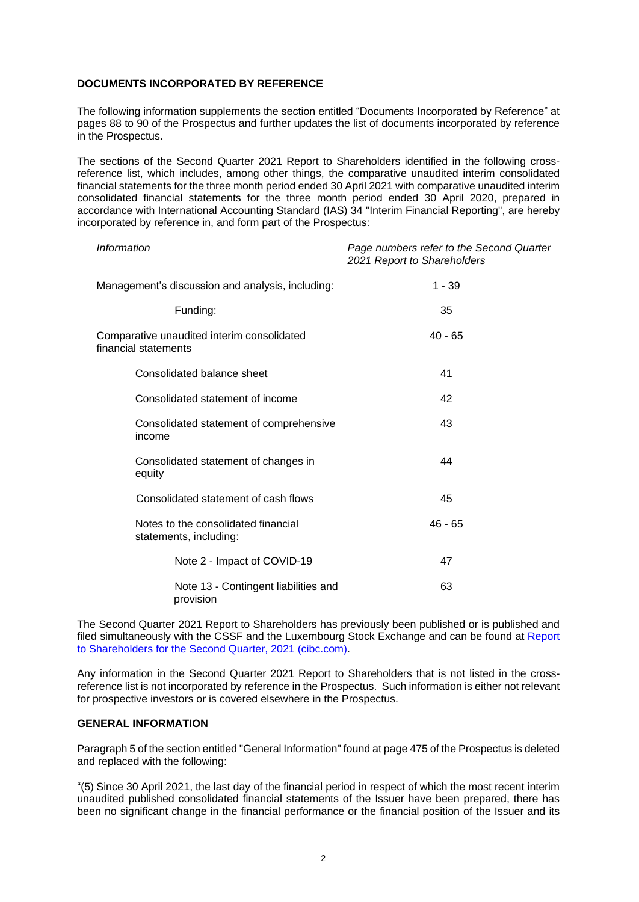### **DOCUMENTS INCORPORATED BY REFERENCE**

The following information supplements the section entitled "Documents Incorporated by Reference" at pages 88 to 90 of the Prospectus and further updates the list of documents incorporated by reference in the Prospectus.

The sections of the Second Quarter 2021 Report to Shareholders identified in the following crossreference list, which includes, among other things, the comparative unaudited interim consolidated financial statements for the three month period ended 30 April 2021 with comparative unaudited interim consolidated financial statements for the three month period ended 30 April 2020, prepared in accordance with International Accounting Standard (IAS) 34 "Interim Financial Reporting", are hereby incorporated by reference in, and form part of the Prospectus:

| Information                                                        | Page numbers refer to the Second Quarter<br>2021 Report to Shareholders |
|--------------------------------------------------------------------|-------------------------------------------------------------------------|
| Management's discussion and analysis, including:                   | $1 - 39$                                                                |
| Funding:                                                           | 35                                                                      |
| Comparative unaudited interim consolidated<br>financial statements | $40 - 65$                                                               |
| Consolidated balance sheet                                         | 41                                                                      |
| Consolidated statement of income                                   | 42                                                                      |
| Consolidated statement of comprehensive<br>income                  | 43                                                                      |
| Consolidated statement of changes in<br>equity                     | 44                                                                      |
| Consolidated statement of cash flows                               | 45                                                                      |
| Notes to the consolidated financial<br>statements, including:      | $46 - 65$                                                               |
| Note 2 - Impact of COVID-19                                        | 47                                                                      |
| Note 13 - Contingent liabilities and<br>provision                  | 63                                                                      |

The Second Quarter 2021 Report to Shareholders has previously been published or is published and filed simultaneously with the CSSF and the Luxembourg Stock Exchange and can be found at Report [to Shareholders for the Second Quarter, 2021 \(cibc.com\).](https://www.cibc.com/content/dam/about_cibc/investor_relations/pdfs/quarterly_results/2021/q221report-en.pdf)

Any information in the Second Quarter 2021 Report to Shareholders that is not listed in the crossreference list is not incorporated by reference in the Prospectus. Such information is either not relevant for prospective investors or is covered elsewhere in the Prospectus.

### **GENERAL INFORMATION**

Paragraph 5 of the section entitled "General Information" found at page 475 of the Prospectus is deleted and replaced with the following:

"(5) Since 30 April 2021, the last day of the financial period in respect of which the most recent interim unaudited published consolidated financial statements of the Issuer have been prepared, there has been no significant change in the financial performance or the financial position of the Issuer and its